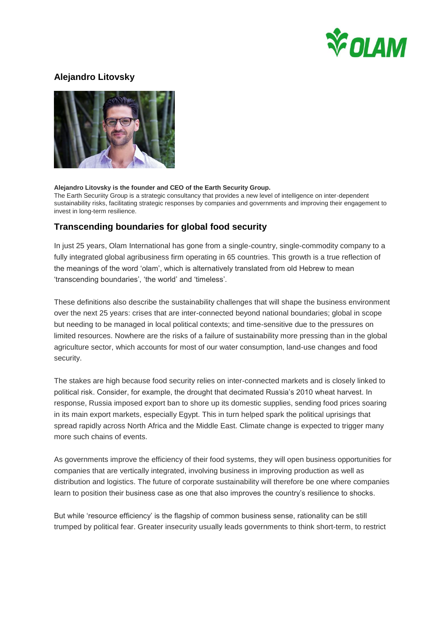

## **Alejandro Litovsky**



## **Alejandro Litovsky is the founder and CEO of the Earth Security Group.**

The Earth Securiity Group is a strategic consultancy that provides a new level of intelligence on inter-dependent sustainability risks, facilitating strategic responses by companies and governments and improving their engagement to invest in long-term resilience.

## **Transcending boundaries for global food security**

In just 25 years, Olam International has gone from a single-country, single-commodity company to a fully integrated global agribusiness firm operating in 65 countries. This growth is a true reflection of the meanings of the word 'olam', which is alternatively translated from old Hebrew to mean 'transcending boundaries', 'the world' and 'timeless'.

These definitions also describe the sustainability challenges that will shape the business environment over the next 25 years: crises that are inter-connected beyond national boundaries; global in scope but needing to be managed in local political contexts; and time-sensitive due to the pressures on limited resources. Nowhere are the risks of a failure of sustainability more pressing than in the global agriculture sector, which accounts for most of our water consumption, land-use changes and food security.

The stakes are high because food security relies on inter-connected markets and is closely linked to political risk. Consider, for example, the drought that decimated Russia's 2010 wheat harvest. In response, Russia imposed export ban to shore up its domestic supplies, sending food prices soaring in its main export markets, especially Egypt. This in turn helped spark the political uprisings that spread rapidly across North Africa and the Middle East. Climate change is expected to trigger many more such chains of events.

As governments improve the efficiency of their food systems, they will open business opportunities for companies that are vertically integrated, involving business in improving production as well as distribution and logistics. The future of corporate sustainability will therefore be one where companies learn to position their business case as one that also improves the country's resilience to shocks.

But while 'resource efficiency' is the flagship of common business sense, rationality can be still trumped by political fear. Greater insecurity usually leads governments to think short-term, to restrict